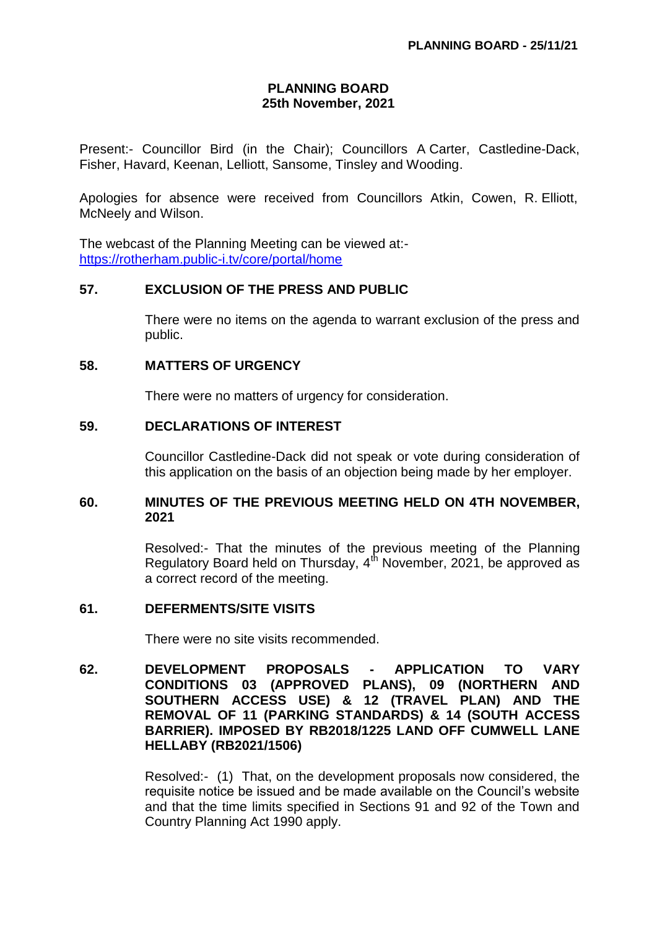# **PLANNING BOARD 25th November, 2021**

Present:- Councillor Bird (in the Chair); Councillors A Carter, Castledine-Dack, Fisher, Havard, Keenan, Lelliott, Sansome, Tinsley and Wooding.

Apologies for absence were received from Councillors Atkin, Cowen, R. Elliott, McNeely and Wilson.

The webcast of the Planning Meeting can be viewed at: <https://rotherham.public-i.tv/core/portal/home>

### **57. EXCLUSION OF THE PRESS AND PUBLIC**

There were no items on the agenda to warrant exclusion of the press and public.

## **58. MATTERS OF URGENCY**

There were no matters of urgency for consideration.

### **59. DECLARATIONS OF INTEREST**

Councillor Castledine-Dack did not speak or vote during consideration of this application on the basis of an objection being made by her employer.

### **60. MINUTES OF THE PREVIOUS MEETING HELD ON 4TH NOVEMBER, 2021**

Resolved:- That the minutes of the previous meeting of the Planning Regulatory Board held on Thursday,  $4^{th}$  November, 2021, be approved as a correct record of the meeting.

#### **61. DEFERMENTS/SITE VISITS**

There were no site visits recommended.

**62. DEVELOPMENT PROPOSALS - APPLICATION TO VARY CONDITIONS 03 (APPROVED PLANS), 09 (NORTHERN AND SOUTHERN ACCESS USE) & 12 (TRAVEL PLAN) AND THE REMOVAL OF 11 (PARKING STANDARDS) & 14 (SOUTH ACCESS BARRIER). IMPOSED BY RB2018/1225 LAND OFF CUMWELL LANE HELLABY (RB2021/1506)**

> Resolved:- (1) That, on the development proposals now considered, the requisite notice be issued and be made available on the Council's website and that the time limits specified in Sections 91 and 92 of the Town and Country Planning Act 1990 apply.